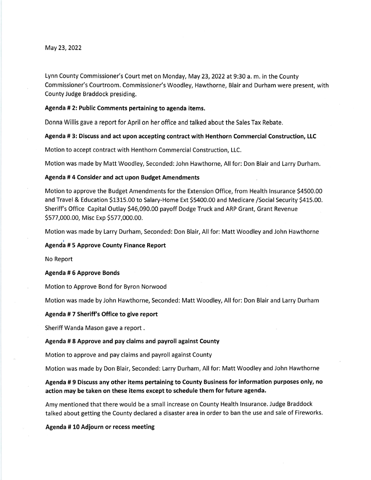May 23, 2022

Lynn County Commissioner's Court met on Monday, May 23, 2022 at 9:30 a. m. in the County Commissioner's Courtroom. Commissioner's Woodley, Hawthorne, Blair and Durham were present, with County Judge Braddock presiding,

## Agenda # 2: Public Comments pertaining to agenda items.

Donna Willis gave a report for April on her office and talked about the Sales Tax Rebate.

Agenda # 3: Discuss and act upon accepting contract with Henthorn Commercial Construction, LLC

Motion to accept contract with Henthorn Commercial Construction, LLC.

Motion was made by Matt Woodley, Seconded: John Hawthorne, All for: Don Blair and Larry Durham.

#### Agenda # 4 Consider and act upon Budget Amendments

Motion to approve the Budget Amendments for the Extension Office, from Health lnsurance S4SOO.OO and Travel & Education \$1315.00 to Salary-Home Ext \$5400.00 and Medicare / Social Security \$415.00. Sheriff's Office Capital Outlay \$46,090.00 payoff Dodge Truck and ARP Grant, Grant Revenue Sszz,000.oo, Misc Exp S577,000.00.

Motion was made by Larry Durham, Seconded: Don Blair, All for: Matt Woodley and John Hawthorne

## Agenda # 5 Approve County Finance Report

No Report

#### Agenda #6 Approve Bonds

Motion to Approve Bond for Byron Norwood

Motion was made by John Hawthorne, Seconded: Matt Woodley, All for: Don Blair and Larry Durham

## Agenda # 7 Sheriff's Office to give report

Sheriff Wanda Mason gave a report

#### Agenda # 8 Approve and pay claims and payroll against County

Motion to approve and pay claims and payroll against County

Motion was made by Don Blair, Seconded: Larry Durham, All for: Matt Woodley and John Hawthorne

# Agenda # 9 Discuss any other items pertaining to County Business for information purposes only, no action may be taken on these items except to schedule them for future agenda.

Amy mentioned that there would be a small increase on County Health lnsurance. Judge Braddock talked about getting the County declared a disaster area in order to ban the use and sale of Fireworks.

## Agenda # 10 Adiourn or recess meeting